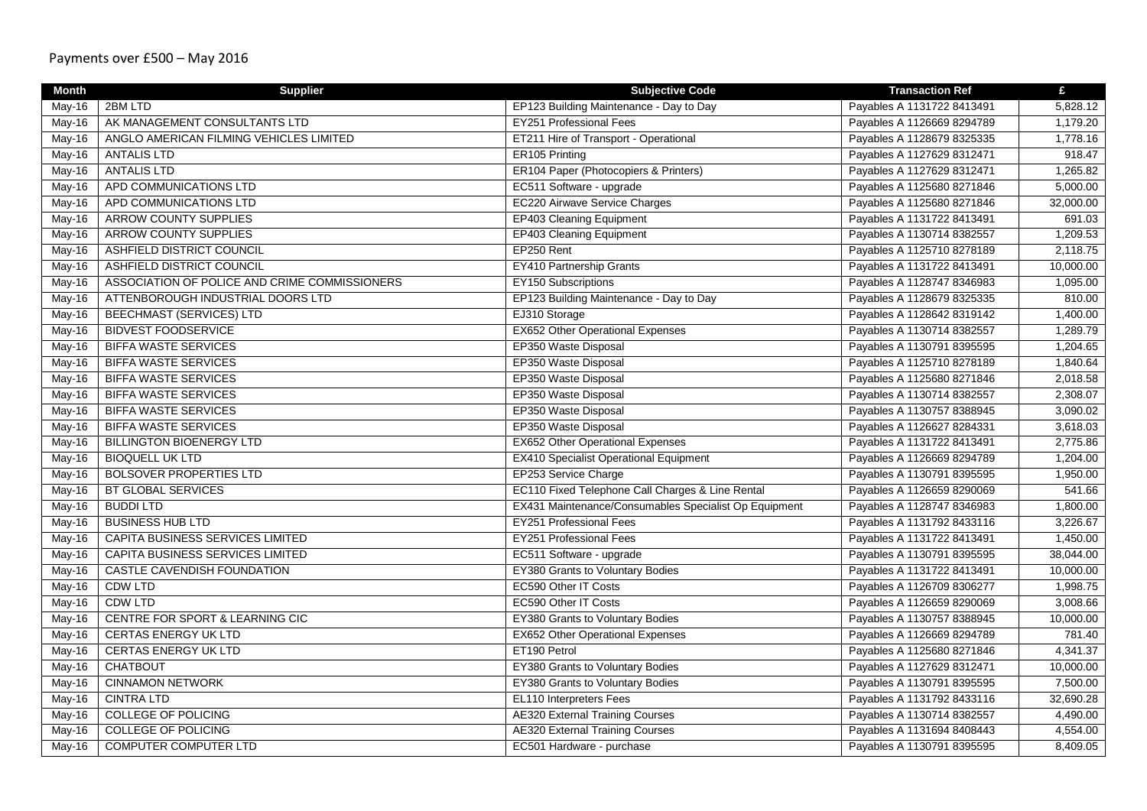| <b>Month</b> | <b>Supplier</b>                               | <b>Subjective Code</b>                                | <b>Transaction Ref</b>     | £         |
|--------------|-----------------------------------------------|-------------------------------------------------------|----------------------------|-----------|
| May-16       | 2BM LTD                                       | EP123 Building Maintenance - Day to Day               | Payables A 1131722 8413491 | 5,828.12  |
| May-16       | AK MANAGEMENT CONSULTANTS LTD                 | <b>EY251 Professional Fees</b>                        | Payables A 1126669 8294789 | 1,179.20  |
| May-16       | ANGLO AMERICAN FILMING VEHICLES LIMITED       | ET211 Hire of Transport - Operational                 | Payables A 1128679 8325335 | 1,778.16  |
| May-16       | <b>ANTALIS LTD</b>                            | ER105 Printing                                        | Payables A 1127629 8312471 | 918.47    |
| May-16       | <b>ANTALIS LTD</b>                            | ER104 Paper (Photocopiers & Printers)                 | Payables A 1127629 8312471 | 1,265.82  |
| May-16       | APD COMMUNICATIONS LTD                        | EC511 Software - upgrade                              | Payables A 1125680 8271846 | 5,000.00  |
| May-16       | APD COMMUNICATIONS LTD                        | <b>EC220 Airwave Service Charges</b>                  | Payables A 1125680 8271846 | 32,000.00 |
| May-16       | <b>ARROW COUNTY SUPPLIES</b>                  | <b>EP403 Cleaning Equipment</b>                       | Payables A 1131722 8413491 | 691.03    |
| May-16       | <b>ARROW COUNTY SUPPLIES</b>                  | <b>EP403 Cleaning Equipment</b>                       | Payables A 1130714 8382557 | 1,209.53  |
| May-16       | <b>ASHFIELD DISTRICT COUNCIL</b>              | EP250 Rent                                            | Payables A 1125710 8278189 | 2,118.75  |
| May-16       | <b>ASHFIELD DISTRICT COUNCIL</b>              | <b>EY410 Partnership Grants</b>                       | Payables A 1131722 8413491 | 10,000.00 |
| May-16       | ASSOCIATION OF POLICE AND CRIME COMMISSIONERS | <b>EY150 Subscriptions</b>                            | Payables A 1128747 8346983 | 1,095.00  |
| May-16       | ATTENBOROUGH INDUSTRIAL DOORS LTD             | EP123 Building Maintenance - Day to Day               | Payables A 1128679 8325335 | 810.00    |
| May-16       | <b>BEECHMAST (SERVICES) LTD</b>               | EJ310 Storage                                         | Payables A 1128642 8319142 | 1,400.00  |
| May-16       | <b>BIDVEST FOODSERVICE</b>                    | <b>EX652 Other Operational Expenses</b>               | Payables A 1130714 8382557 | 1,289.79  |
| May-16       | <b>BIFFA WASTE SERVICES</b>                   | EP350 Waste Disposal                                  | Payables A 1130791 8395595 | 1,204.65  |
| $May-16$     | <b>BIFFA WASTE SERVICES</b>                   | EP350 Waste Disposal                                  | Payables A 1125710 8278189 | 1,840.64  |
| May-16       | <b>BIFFA WASTE SERVICES</b>                   | EP350 Waste Disposal                                  | Payables A 1125680 8271846 | 2,018.58  |
| May-16       | <b>BIFFA WASTE SERVICES</b>                   | EP350 Waste Disposal                                  | Payables A 1130714 8382557 | 2,308.07  |
| May-16       | <b>BIFFA WASTE SERVICES</b>                   | EP350 Waste Disposal                                  | Payables A 1130757 8388945 | 3,090.02  |
| May-16       | <b>BIFFA WASTE SERVICES</b>                   | EP350 Waste Disposal                                  | Payables A 1126627 8284331 | 3,618.03  |
| May-16       | <b>BILLINGTON BIOENERGY LTD</b>               | <b>EX652 Other Operational Expenses</b>               | Payables A 1131722 8413491 | 2,775.86  |
| May-16       | <b>BIOQUELL UK LTD</b>                        | <b>EX410 Specialist Operational Equipment</b>         | Payables A 1126669 8294789 | 1,204.00  |
| May-16       | <b>BOLSOVER PROPERTIES LTD</b>                | EP253 Service Charge                                  | Payables A 1130791 8395595 | 1,950.00  |
| May-16       | <b>BT GLOBAL SERVICES</b>                     | EC110 Fixed Telephone Call Charges & Line Rental      | Payables A 1126659 8290069 | 541.66    |
| May-16       | <b>BUDDI LTD</b>                              | EX431 Maintenance/Consumables Specialist Op Equipment | Payables A 1128747 8346983 | 1,800.00  |
| May-16       | <b>BUSINESS HUB LTD</b>                       | <b>EY251 Professional Fees</b>                        | Payables A 1131792 8433116 | 3,226.67  |
| May-16       | CAPITA BUSINESS SERVICES LIMITED              | <b>EY251 Professional Fees</b>                        | Payables A 1131722 8413491 | 1,450.00  |
| May-16       | CAPITA BUSINESS SERVICES LIMITED              | EC511 Software - upgrade                              | Payables A 1130791 8395595 | 38,044.00 |
| May-16       | <b>CASTLE CAVENDISH FOUNDATION</b>            | EY380 Grants to Voluntary Bodies                      | Payables A 1131722 8413491 | 10,000.00 |
| May-16       | CDW LTD                                       | EC590 Other IT Costs                                  | Payables A 1126709 8306277 | 1,998.75  |
| May-16       | <b>CDW LTD</b>                                | <b>EC590 Other IT Costs</b>                           | Payables A 1126659 8290069 | 3,008.66  |
| May-16       | CENTRE FOR SPORT & LEARNING CIC               | EY380 Grants to Voluntary Bodies                      | Payables A 1130757 8388945 | 10,000.00 |
| May-16       | <b>CERTAS ENERGY UK LTD</b>                   | <b>EX652 Other Operational Expenses</b>               | Payables A 1126669 8294789 | 781.40    |
| May-16       | <b>CERTAS ENERGY UK LTD</b>                   | ET190 Petrol                                          | Payables A 1125680 8271846 | 4,341.37  |
| May-16       | <b>CHATBOUT</b>                               | EY380 Grants to Voluntary Bodies                      | Payables A 1127629 8312471 | 10,000.00 |
| May-16       | <b>CINNAMON NETWORK</b>                       | EY380 Grants to Voluntary Bodies                      | Payables A 1130791 8395595 | 7,500.00  |
| May-16       | <b>CINTRA LTD</b>                             | EL110 Interpreters Fees                               | Payables A 1131792 8433116 | 32,690.28 |
| May-16       | <b>COLLEGE OF POLICING</b>                    | <b>AE320 External Training Courses</b>                | Payables A 1130714 8382557 | 4,490.00  |
| May-16       | <b>COLLEGE OF POLICING</b>                    | <b>AE320 External Training Courses</b>                | Payables A 1131694 8408443 | 4,554.00  |
| $May-16$     | <b>COMPUTER COMPUTER LTD</b>                  | EC501 Hardware - purchase                             | Payables A 1130791 8395595 | 8,409.05  |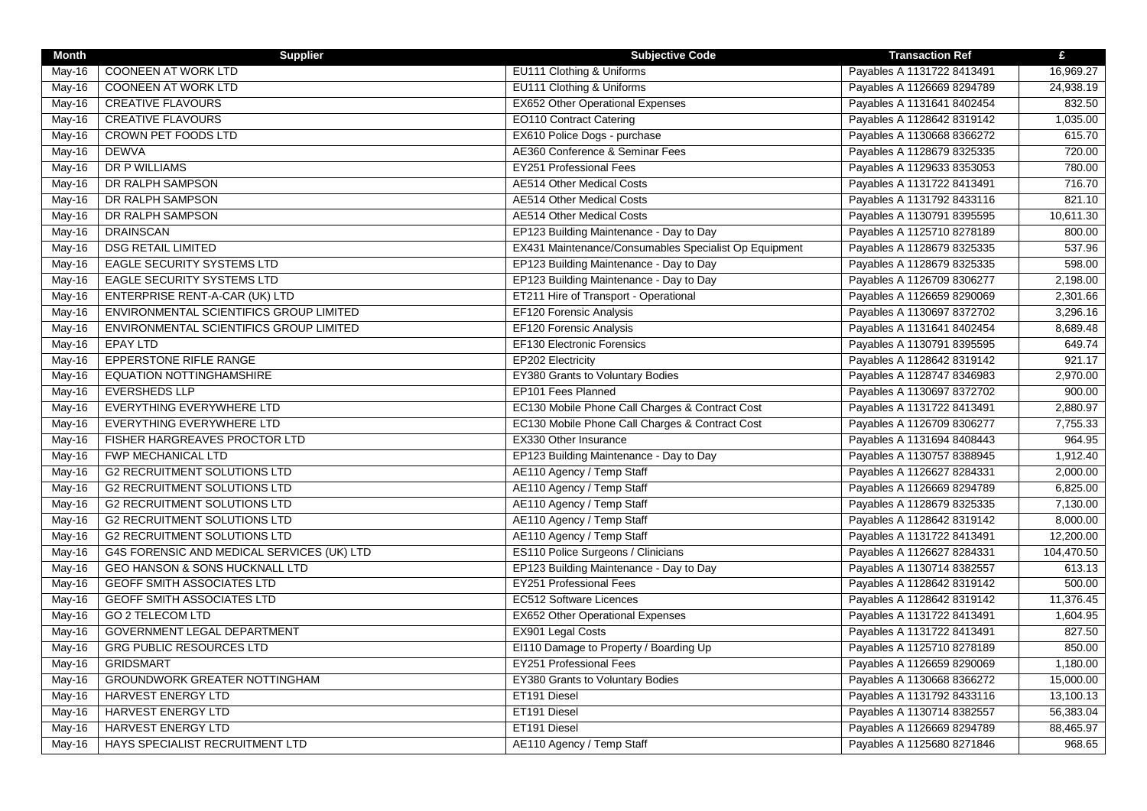| <b>Month</b> | <b>Supplier</b>                            | <b>Subjective Code</b>                                | <b>Transaction Ref</b>     | £          |
|--------------|--------------------------------------------|-------------------------------------------------------|----------------------------|------------|
| May-16       | <b>COONEEN AT WORK LTD</b>                 | EU111 Clothing & Uniforms                             | Payables A 1131722 8413491 | 16,969.27  |
| May-16       | COONEEN AT WORK LTD                        | EU111 Clothing & Uniforms                             | Payables A 1126669 8294789 | 24,938.19  |
| $May-16$     | <b>CREATIVE FLAVOURS</b>                   | <b>EX652 Other Operational Expenses</b>               | Payables A 1131641 8402454 | 832.50     |
| May-16       | <b>CREATIVE FLAVOURS</b>                   | <b>EO110 Contract Catering</b>                        | Payables A 1128642 8319142 | 1,035.00   |
| May-16       | <b>CROWN PET FOODS LTD</b>                 | EX610 Police Dogs - purchase                          | Payables A 1130668 8366272 | 615.70     |
| May-16       | <b>DEWVA</b>                               | AE360 Conference & Seminar Fees                       | Payables A 1128679 8325335 | 720.00     |
| May-16       | DR P WILLIAMS                              | <b>EY251 Professional Fees</b>                        | Payables A 1129633 8353053 | 780.00     |
| May-16       | DR RALPH SAMPSON                           | <b>AE514 Other Medical Costs</b>                      | Payables A 1131722 8413491 | 716.70     |
| May-16       | DR RALPH SAMPSON                           | <b>AE514 Other Medical Costs</b>                      | Payables A 1131792 8433116 | 821.10     |
| $May-16$     | DR RALPH SAMPSON                           | <b>AE514 Other Medical Costs</b>                      | Payables A 1130791 8395595 | 10,611.30  |
| May-16       | <b>DRAINSCAN</b>                           | EP123 Building Maintenance - Day to Day               | Payables A 1125710 8278189 | 800.00     |
| May-16       | <b>DSG RETAIL LIMITED</b>                  | EX431 Maintenance/Consumables Specialist Op Equipment | Payables A 1128679 8325335 | 537.96     |
| May-16       | <b>EAGLE SECURITY SYSTEMS LTD</b>          | EP123 Building Maintenance - Day to Day               | Payables A 1128679 8325335 | 598.00     |
| May-16       | <b>EAGLE SECURITY SYSTEMS LTD</b>          | EP123 Building Maintenance - Day to Day               | Payables A 1126709 8306277 | 2,198.00   |
| May-16       | <b>ENTERPRISE RENT-A-CAR (UK) LTD</b>      | ET211 Hire of Transport - Operational                 | Payables A 1126659 8290069 | 2,301.66   |
| May-16       | ENVIRONMENTAL SCIENTIFICS GROUP LIMITED    | EF120 Forensic Analysis                               | Payables A 1130697 8372702 | 3,296.16   |
| May-16       | ENVIRONMENTAL SCIENTIFICS GROUP LIMITED    | <b>EF120 Forensic Analysis</b>                        | Payables A 1131641 8402454 | 8,689.48   |
| May-16       | <b>EPAY LTD</b>                            | <b>EF130 Electronic Forensics</b>                     | Payables A 1130791 8395595 | 649.74     |
| May-16       | EPPERSTONE RIFLE RANGE                     | EP202 Electricity                                     | Payables A 1128642 8319142 | 921.17     |
| May-16       | <b>EQUATION NOTTINGHAMSHIRE</b>            | EY380 Grants to Voluntary Bodies                      | Payables A 1128747 8346983 | 2,970.00   |
| May-16       | <b>EVERSHEDS LLP</b>                       | EP101 Fees Planned                                    | Payables A 1130697 8372702 | 900.00     |
| May-16       | EVERYTHING EVERYWHERE LTD                  | EC130 Mobile Phone Call Charges & Contract Cost       | Payables A 1131722 8413491 | 2,880.97   |
| May-16       | EVERYTHING EVERYWHERE LTD                  | EC130 Mobile Phone Call Charges & Contract Cost       | Payables A 1126709 8306277 | 7,755.33   |
| May-16       | FISHER HARGREAVES PROCTOR LTD              | EX330 Other Insurance                                 | Payables A 1131694 8408443 | 964.95     |
| May-16       | FWP MECHANICAL LTD                         | EP123 Building Maintenance - Day to Day               | Payables A 1130757 8388945 | 1,912.40   |
| May-16       | <b>G2 RECRUITMENT SOLUTIONS LTD</b>        | AE110 Agency / Temp Staff                             | Payables A 1126627 8284331 | 2,000.00   |
| May-16       | <b>G2 RECRUITMENT SOLUTIONS LTD</b>        | AE110 Agency / Temp Staff                             | Payables A 1126669 8294789 | 6,825.00   |
| May-16       | <b>G2 RECRUITMENT SOLUTIONS LTD</b>        | AE110 Agency / Temp Staff                             | Payables A 1128679 8325335 | 7,130.00   |
| $May-16$     | <b>G2 RECRUITMENT SOLUTIONS LTD</b>        | AE110 Agency / Temp Staff                             | Payables A 1128642 8319142 | 8,000.00   |
| May-16       | <b>G2 RECRUITMENT SOLUTIONS LTD</b>        | AE110 Agency / Temp Staff                             | Payables A 1131722 8413491 | 12,200.00  |
| May-16       | G4S FORENSIC AND MEDICAL SERVICES (UK) LTD | ES110 Police Surgeons / Clinicians                    | Payables A 1126627 8284331 | 104,470.50 |
| May-16       | <b>GEO HANSON &amp; SONS HUCKNALL LTD</b>  | EP123 Building Maintenance - Day to Day               | Payables A 1130714 8382557 | 613.13     |
| May-16       | <b>GEOFF SMITH ASSOCIATES LTD</b>          | <b>EY251 Professional Fees</b>                        | Payables A 1128642 8319142 | 500.00     |
| May-16       | <b>GEOFF SMITH ASSOCIATES LTD</b>          | EC512 Software Licences                               | Payables A 1128642 8319142 | 11,376.45  |
| May-16       | <b>GO 2 TELECOM LTD</b>                    | EX652 Other Operational Expenses                      | Payables A 1131722 8413491 | 1,604.95   |
| May-16       | <b>GOVERNMENT LEGAL DEPARTMENT</b>         | EX901 Legal Costs                                     | Payables A 1131722 8413491 | 827.50     |
| May-16       | <b>GRG PUBLIC RESOURCES LTD</b>            | EI110 Damage to Property / Boarding Up                | Payables A 1125710 8278189 | 850.00     |
| May-16       | <b>GRIDSMART</b>                           | <b>EY251 Professional Fees</b>                        | Payables A 1126659 8290069 | 1,180.00   |
| May-16       | <b>GROUNDWORK GREATER NOTTINGHAM</b>       | EY380 Grants to Voluntary Bodies                      | Payables A 1130668 8366272 | 15,000.00  |
| May-16       | <b>HARVEST ENERGY LTD</b>                  | ET191 Diesel                                          | Payables A 1131792 8433116 | 13,100.13  |
| May-16       | HARVEST ENERGY LTD                         | ET191 Diesel                                          | Payables A 1130714 8382557 | 56,383.04  |
| May-16       | HARVEST ENERGY LTD                         | ET191 Diesel                                          | Payables A 1126669 8294789 | 88,465.97  |
| May-16       | HAYS SPECIALIST RECRUITMENT LTD            | AE110 Agency / Temp Staff                             | Payables A 1125680 8271846 | 968.65     |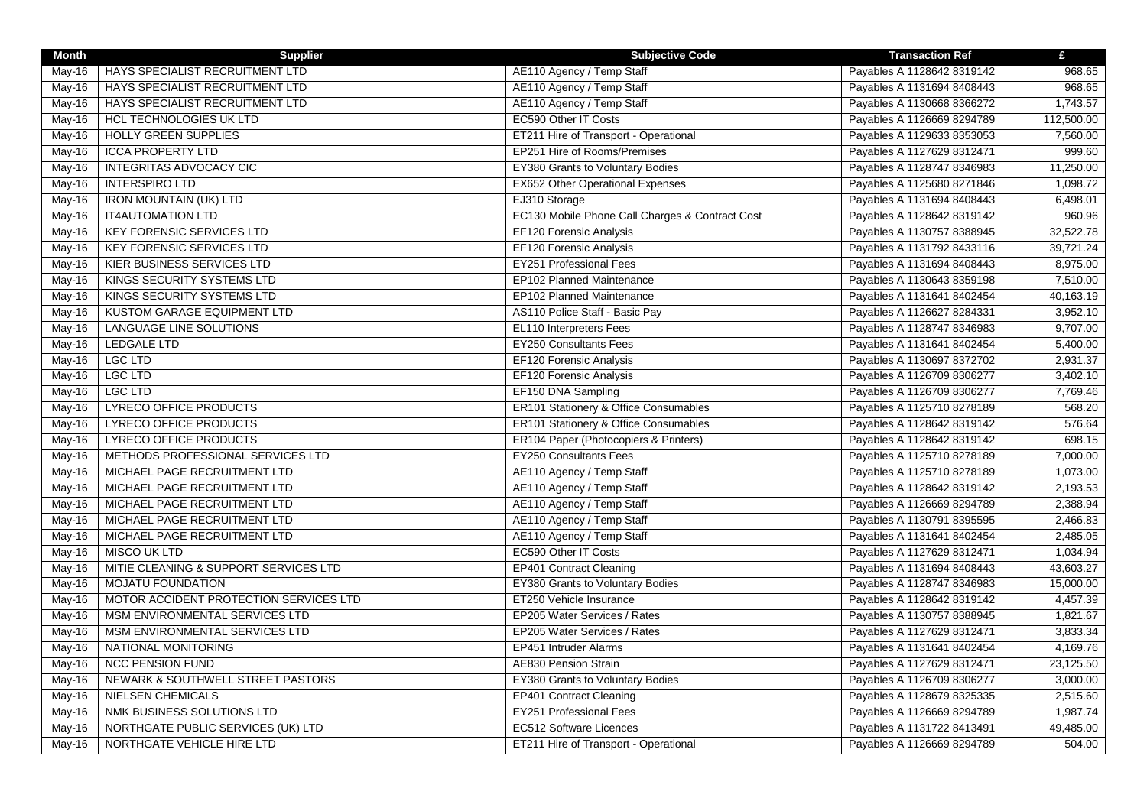| <b>Month</b> | <b>Supplier</b>                        | <b>Subjective Code</b>                          | <b>Transaction Ref</b>     | £          |
|--------------|----------------------------------------|-------------------------------------------------|----------------------------|------------|
| May-16       | HAYS SPECIALIST RECRUITMENT LTD        | AE110 Agency / Temp Staff                       | Payables A 1128642 8319142 | 968.65     |
| May-16       | HAYS SPECIALIST RECRUITMENT LTD        | AE110 Agency / Temp Staff                       | Payables A 1131694 8408443 | 968.65     |
| May-16       | HAYS SPECIALIST RECRUITMENT LTD        | AE110 Agency / Temp Staff                       | Payables A 1130668 8366272 | 1,743.57   |
| May-16       | <b>HCL TECHNOLOGIES UK LTD</b>         | EC590 Other IT Costs                            | Payables A 1126669 8294789 | 112,500.00 |
| $May-16$     | <b>HOLLY GREEN SUPPLIES</b>            | ET211 Hire of Transport - Operational           | Payables A 1129633 8353053 | 7,560.00   |
| May-16       | <b>ICCA PROPERTY LTD</b>               | EP251 Hire of Rooms/Premises                    | Payables A 1127629 8312471 | 999.60     |
| May-16       | <b>INTEGRITAS ADVOCACY CIC</b>         | EY380 Grants to Voluntary Bodies                | Payables A 1128747 8346983 | 11,250.00  |
| May-16       | <b>INTERSPIRO LTD</b>                  | <b>EX652 Other Operational Expenses</b>         | Payables A 1125680 8271846 | 1,098.72   |
| May-16       | <b>IRON MOUNTAIN (UK) LTD</b>          | EJ310 Storage                                   | Payables A 1131694 8408443 | 6,498.01   |
| May-16       | <b>IT4AUTOMATION LTD</b>               | EC130 Mobile Phone Call Charges & Contract Cost | Payables A 1128642 8319142 | 960.96     |
| May-16       | <b>KEY FORENSIC SERVICES LTD</b>       | EF120 Forensic Analysis                         | Payables A 1130757 8388945 | 32,522.78  |
| May-16       | <b>KEY FORENSIC SERVICES LTD</b>       | EF120 Forensic Analysis                         | Payables A 1131792 8433116 | 39,721.24  |
| May-16       | <b>KIER BUSINESS SERVICES LTD</b>      | EY251 Professional Fees                         | Payables A 1131694 8408443 | 8,975.00   |
| May-16       | KINGS SECURITY SYSTEMS LTD             | EP102 Planned Maintenance                       | Payables A 1130643 8359198 | 7,510.00   |
| May-16       | KINGS SECURITY SYSTEMS LTD             | EP102 Planned Maintenance                       | Payables A 1131641 8402454 | 40,163.19  |
| May-16       | KUSTOM GARAGE EQUIPMENT LTD            | AS110 Police Staff - Basic Pay                  | Payables A 1126627 8284331 | 3,952.10   |
| May-16       | <b>LANGUAGE LINE SOLUTIONS</b>         | EL110 Interpreters Fees                         | Payables A 1128747 8346983 | 9,707.00   |
| May-16       | <b>LEDGALE LTD</b>                     | <b>EY250 Consultants Fees</b>                   | Payables A 1131641 8402454 | 5,400.00   |
| May-16       | <b>LGC LTD</b>                         | EF120 Forensic Analysis                         | Payables A 1130697 8372702 | 2,931.37   |
| May-16       | <b>LGC LTD</b>                         | EF120 Forensic Analysis                         | Payables A 1126709 8306277 | 3,402.10   |
| May-16       | <b>LGC LTD</b>                         | EF150 DNA Sampling                              | Payables A 1126709 8306277 | 7,769.46   |
| $May-16$     | <b>LYRECO OFFICE PRODUCTS</b>          | ER101 Stationery & Office Consumables           | Payables A 1125710 8278189 | 568.20     |
| May-16       | LYRECO OFFICE PRODUCTS                 | ER101 Stationery & Office Consumables           | Payables A 1128642 8319142 | 576.64     |
| May-16       | <b>LYRECO OFFICE PRODUCTS</b>          | ER104 Paper (Photocopiers & Printers)           | Payables A 1128642 8319142 | 698.15     |
| May-16       | METHODS PROFESSIONAL SERVICES LTD      | <b>EY250 Consultants Fees</b>                   | Payables A 1125710 8278189 | 7,000.00   |
| $May-16$     | MICHAEL PAGE RECRUITMENT LTD           | AE110 Agency / Temp Staff                       | Payables A 1125710 8278189 | 1,073.00   |
| May-16       | MICHAEL PAGE RECRUITMENT LTD           | AE110 Agency / Temp Staff                       | Payables A 1128642 8319142 | 2,193.53   |
| May-16       | MICHAEL PAGE RECRUITMENT LTD           | AE110 Agency / Temp Staff                       | Payables A 1126669 8294789 | 2,388.94   |
| May-16       | MICHAEL PAGE RECRUITMENT LTD           | AE110 Agency / Temp Staff                       | Payables A 1130791 8395595 | 2,466.83   |
| May-16       | MICHAEL PAGE RECRUITMENT LTD           | AE110 Agency / Temp Staff                       | Payables A 1131641 8402454 | 2,485.05   |
| $May-16$     | <b>MISCO UK LTD</b>                    | EC590 Other IT Costs                            | Payables A 1127629 8312471 | 1,034.94   |
| May-16       | MITIE CLEANING & SUPPORT SERVICES LTD  | <b>EP401 Contract Cleaning</b>                  | Payables A 1131694 8408443 | 43,603.27  |
| May-16       | <b>MOJATU FOUNDATION</b>               | EY380 Grants to Voluntary Bodies                | Payables A 1128747 8346983 | 15,000.00  |
| May-16       | MOTOR ACCIDENT PROTECTION SERVICES LTD | ET250 Vehicle Insurance                         | Payables A 1128642 8319142 | 4,457.39   |
| May-16       | MSM ENVIRONMENTAL SERVICES LTD         | EP205 Water Services / Rates                    | Payables A 1130757 8388945 | 1,821.67   |
| May-16       | MSM ENVIRONMENTAL SERVICES LTD         | EP205 Water Services / Rates                    | Payables A 1127629 8312471 | 3,833.34   |
| May-16       | NATIONAL MONITORING                    | EP451 Intruder Alarms                           | Payables A 1131641 8402454 | 4,169.76   |
| May-16       | <b>NCC PENSION FUND</b>                | <b>AE830 Pension Strain</b>                     | Payables A 1127629 8312471 | 23,125.50  |
| May-16       | NEWARK & SOUTHWELL STREET PASTORS      | EY380 Grants to Voluntary Bodies                | Payables A 1126709 8306277 | 3,000.00   |
| May-16       | <b>NIELSEN CHEMICALS</b>               | <b>EP401 Contract Cleaning</b>                  | Payables A 1128679 8325335 | 2,515.60   |
| May-16       | NMK BUSINESS SOLUTIONS LTD             | <b>EY251 Professional Fees</b>                  | Payables A 1126669 8294789 | 1,987.74   |
| May-16       | NORTHGATE PUBLIC SERVICES (UK) LTD     | EC512 Software Licences                         | Payables A 1131722 8413491 | 49,485.00  |
| May-16       | NORTHGATE VEHICLE HIRE LTD             | ET211 Hire of Transport - Operational           | Payables A 1126669 8294789 | 504.00     |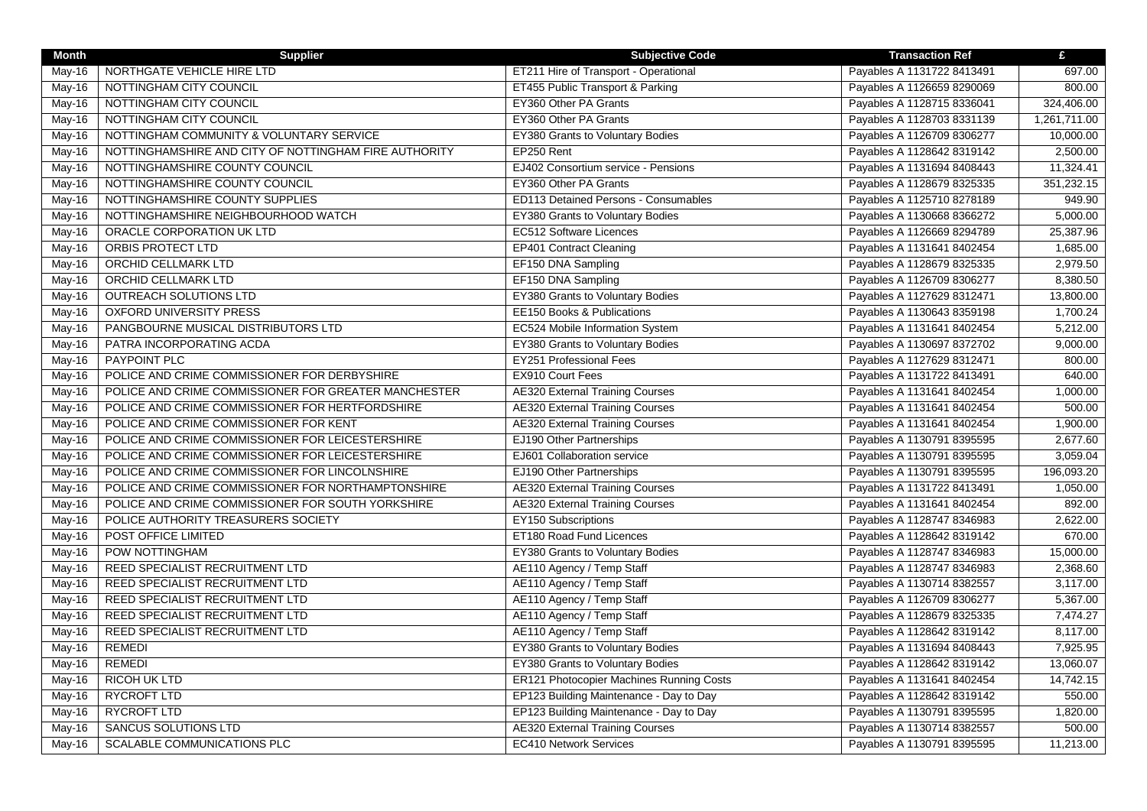| <b>Month</b>               | <b>Supplier</b>                                       | <b>Subjective Code</b>                   | <b>Transaction Ref</b>     | £            |
|----------------------------|-------------------------------------------------------|------------------------------------------|----------------------------|--------------|
| May-16                     | NORTHGATE VEHICLE HIRE LTD                            | ET211 Hire of Transport - Operational    | Payables A 1131722 8413491 | 697.00       |
| May-16                     | NOTTINGHAM CITY COUNCIL                               | ET455 Public Transport & Parking         | Payables A 1126659 8290069 | 800.00       |
| May- $16$                  | NOTTINGHAM CITY COUNCIL                               | EY360 Other PA Grants                    | Payables A 1128715 8336041 | 324,406.00   |
| May-16                     | NOTTINGHAM CITY COUNCIL                               | EY360 Other PA Grants                    | Payables A 1128703 8331139 | 1,261,711.00 |
| May-16                     | NOTTINGHAM COMMUNITY & VOLUNTARY SERVICE              | EY380 Grants to Voluntary Bodies         | Payables A 1126709 8306277 | 10,000.00    |
| May-16                     | NOTTINGHAMSHIRE AND CITY OF NOTTINGHAM FIRE AUTHORITY | EP250 Rent                               | Payables A 1128642 8319142 | 2,500.00     |
| May-16                     | NOTTINGHAMSHIRE COUNTY COUNCIL                        | EJ402 Consortium service - Pensions      | Payables A 1131694 8408443 | 11,324.41    |
| May-16                     | NOTTINGHAMSHIRE COUNTY COUNCIL                        | EY360 Other PA Grants                    | Payables A 1128679 8325335 | 351,232.15   |
| May-16                     | NOTTINGHAMSHIRE COUNTY SUPPLIES                       | ED113 Detained Persons - Consumables     | Payables A 1125710 8278189 | 949.90       |
| May-16                     | NOTTINGHAMSHIRE NEIGHBOURHOOD WATCH                   | EY380 Grants to Voluntary Bodies         | Payables A 1130668 8366272 | 5,000.00     |
| May-16                     | ORACLE CORPORATION UK LTD                             | <b>EC512 Software Licences</b>           | Payables A 1126669 8294789 | 25,387.96    |
| May-16                     | ORBIS PROTECT LTD                                     | EP401 Contract Cleaning                  | Payables A 1131641 8402454 | 1,685.00     |
| May-16                     | <b>ORCHID CELLMARK LTD</b>                            | EF150 DNA Sampling                       | Payables A 1128679 8325335 | 2,979.50     |
| May-16                     | <b>ORCHID CELLMARK LTD</b>                            | EF150 DNA Sampling                       | Payables A 1126709 8306277 | 8,380.50     |
| May-16                     | OUTREACH SOLUTIONS LTD                                | EY380 Grants to Voluntary Bodies         | Payables A 1127629 8312471 | 13,800.00    |
| May-16                     | OXFORD UNIVERSITY PRESS                               | EE150 Books & Publications               | Payables A 1130643 8359198 | 1,700.24     |
| May-16                     | PANGBOURNE MUSICAL DISTRIBUTORS LTD                   | EC524 Mobile Information System          | Payables A 1131641 8402454 | 5,212.00     |
| May-16                     | PATRA INCORPORATING ACDA                              | <b>EY380 Grants to Voluntary Bodies</b>  | Payables A 1130697 8372702 | 9,000.00     |
| May-16                     | PAYPOINT PLC                                          | EY251 Professional Fees                  | Payables A 1127629 8312471 | 800.00       |
| <b>May-16</b>              | POLICE AND CRIME COMMISSIONER FOR DERBYSHIRE          | EX910 Court Fees                         | Payables A 1131722 8413491 | 640.00       |
| May-16                     | POLICE AND CRIME COMMISSIONER FOR GREATER MANCHESTER  | <b>AE320 External Training Courses</b>   | Payables A 1131641 8402454 | 1,000.00     |
| May-16                     | POLICE AND CRIME COMMISSIONER FOR HERTFORDSHIRE       | <b>AE320 External Training Courses</b>   | Payables A 1131641 8402454 | 500.00       |
| $\overline{\text{May-16}}$ | POLICE AND CRIME COMMISSIONER FOR KENT                | <b>AE320 External Training Courses</b>   | Payables A 1131641 8402454 | 1,900.00     |
| May-16                     | POLICE AND CRIME COMMISSIONER FOR LEICESTERSHIRE      | EJ190 Other Partnerships                 | Payables A 1130791 8395595 | 2,677.60     |
| May-16                     | POLICE AND CRIME COMMISSIONER FOR LEICESTERSHIRE      | EJ601 Collaboration service              | Payables A 1130791 8395595 | 3,059.04     |
| May-16                     | POLICE AND CRIME COMMISSIONER FOR LINCOLNSHIRE        | EJ190 Other Partnerships                 | Payables A 1130791 8395595 | 196,093.20   |
| May-16                     | POLICE AND CRIME COMMISSIONER FOR NORTHAMPTONSHIRE    | <b>AE320 External Training Courses</b>   | Payables A 1131722 8413491 | 1,050.00     |
| $May-16$                   | POLICE AND CRIME COMMISSIONER FOR SOUTH YORKSHIRE     | <b>AE320 External Training Courses</b>   | Payables A 1131641 8402454 | 892.00       |
| May-16                     | POLICE AUTHORITY TREASURERS SOCIETY                   | <b>EY150 Subscriptions</b>               | Payables A 1128747 8346983 | 2,622.00     |
| May-16                     | POST OFFICE LIMITED                                   | ET180 Road Fund Licences                 | Payables A 1128642 8319142 | 670.00       |
| May-16                     | POW NOTTINGHAM                                        | EY380 Grants to Voluntary Bodies         | Payables A 1128747 8346983 | 15,000.00    |
| May-16                     | REED SPECIALIST RECRUITMENT LTD                       | AE110 Agency / Temp Staff                | Payables A 1128747 8346983 | 2,368.60     |
| $May-16$                   | REED SPECIALIST RECRUITMENT LTD                       | AE110 Agency / Temp Staff                | Payables A 1130714 8382557 | 3,117.00     |
| May-16                     | REED SPECIALIST RECRUITMENT LTD                       | AE110 Agency / Temp Staff                | Payables A 1126709 8306277 | 5,367.00     |
| May-16                     | REED SPECIALIST RECRUITMENT LTD                       | AE110 Agency / Temp Staff                | Payables A 1128679 8325335 | 7,474.27     |
| $May-16$                   | REED SPECIALIST RECRUITMENT LTD                       | AE110 Agency / Temp Staff                | Payables A 1128642 8319142 | 8,117.00     |
| May-16                     | <b>REMEDI</b>                                         | EY380 Grants to Voluntary Bodies         | Payables A 1131694 8408443 | 7,925.95     |
| May-16                     | <b>REMEDI</b>                                         | EY380 Grants to Voluntary Bodies         | Payables A 1128642 8319142 | 13,060.07    |
| May-16                     | <b>RICOH UK LTD</b>                                   | ER121 Photocopier Machines Running Costs | Payables A 1131641 8402454 | 14,742.15    |
| May-16                     | <b>RYCROFT LTD</b>                                    | EP123 Building Maintenance - Day to Day  | Payables A 1128642 8319142 | 550.00       |
| $\overline{\text{May-16}}$ | <b>RYCROFT LTD</b>                                    | EP123 Building Maintenance - Day to Day  | Payables A 1130791 8395595 | 1,820.00     |
| May-16                     | SANCUS SOLUTIONS LTD                                  | <b>AE320 External Training Courses</b>   | Payables A 1130714 8382557 | 500.00       |
| May-16                     | <b>SCALABLE COMMUNICATIONS PLC</b>                    | <b>EC410 Network Services</b>            | Payables A 1130791 8395595 | 11,213.00    |